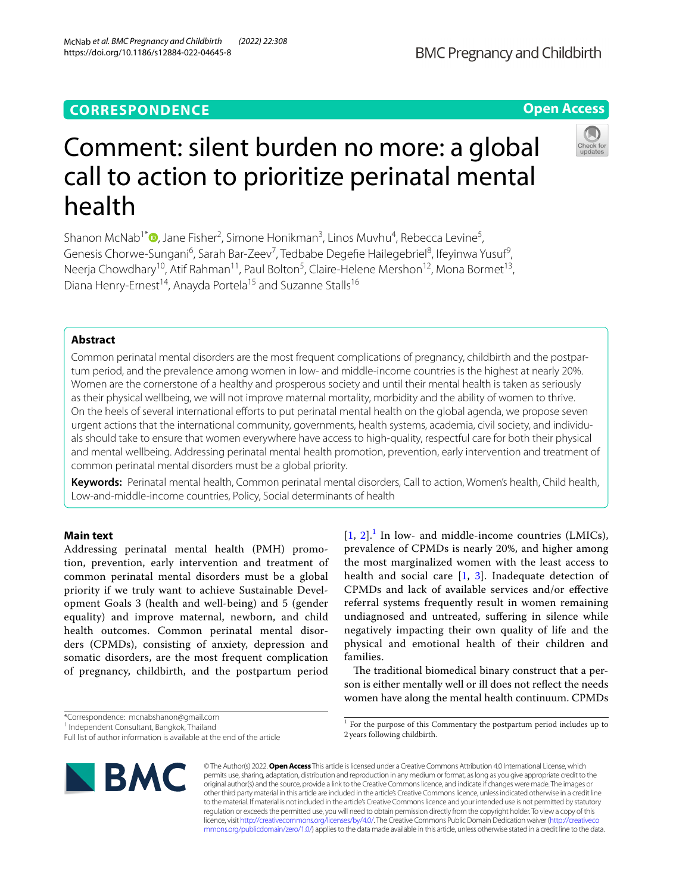# **CORRESPONDENCE**

# Comment: silent burden no more: a global call to action to prioritize perinatal mental health

Shanon McNab<sup>1\*</sup><sup>®</sup>[,](http://orcid.org/0000-0002-2874-0495) Jane Fisher<sup>2</sup>, Simone Honikman<sup>3</sup>, Linos Muvhu<sup>4</sup>, Rebecca Levine<sup>5</sup>, Genesis Chorwe-Sungani<sup>6</sup>, Sarah Bar-Zeev<sup>7</sup>, Tedbabe Degefie Hailegebriel<sup>8</sup>, Ifeyinwa Yusuf<sup>9</sup>, Neerja Chowdhary<sup>10</sup>, Atif Rahman<sup>11</sup>, Paul Bolton<sup>5</sup>, Claire-Helene Mershon<sup>12</sup>, Mona Bormet<sup>13</sup>, Diana Henry-Ernest<sup>14</sup>, Anayda Portela<sup>15</sup> and Suzanne Stalls<sup>16</sup>

# **Abstract**

Common perinatal mental disorders are the most frequent complications of pregnancy, childbirth and the postpartum period, and the prevalence among women in low- and middle-income countries is the highest at nearly 20%. Women are the cornerstone of a healthy and prosperous society and until their mental health is taken as seriously as their physical wellbeing, we will not improve maternal mortality, morbidity and the ability of women to thrive. On the heels of several international efforts to put perinatal mental health on the global agenda, we propose seven urgent actions that the international community, governments, health systems, academia, civil society, and individuals should take to ensure that women everywhere have access to high-quality, respectful care for both their physical and mental wellbeing. Addressing perinatal mental health promotion, prevention, early intervention and treatment of common perinatal mental disorders must be a global priority.

**Keywords:** Perinatal mental health, Common perinatal mental disorders, Call to action, Women's health, Child health, Low-and-middle-income countries, Policy, Social determinants of health

# **Main text**

Addressing perinatal mental health (PMH) promotion, prevention, early intervention and treatment of common perinatal mental disorders must be a global priority if we truly want to achieve Sustainable Development Goals 3 (health and well-being) and 5 (gender equality) and improve maternal, newborn, and child health outcomes. Common perinatal mental disorders (CPMDs), consisting of anxiety, depression and somatic disorders, are the most frequent complication of pregnancy, childbirth, and the postpartum period

\*Correspondence: mcnabshanon@gmail.com

 $\blacksquare$  BMC

<sup>1</sup> Independent Consultant, Bangkok, Thailand

© The Author(s) 2022. **Open Access** This article is licensed under a Creative Commons Attribution 4.0 International License, which permits use, sharing, adaptation, distribution and reproduction in any medium or format, as long as you give appropriate credit to the original author(s) and the source, provide a link to the Creative Commons licence, and indicate if changes were made. The images or other third party material in this article are included in the article's Creative Commons licence, unless indicated otherwise in a credit line to the material. If material is not included in the article's Creative Commons licence and your intended use is not permitted by statutory regulation or exceeds the permitted use, you will need to obtain permission directly from the copyright holder. To view a copy of this licence, visit [http://creativecommons.org/licenses/by/4.0/.](http://creativecommons.org/licenses/by/4.0/) The Creative Commons Public Domain Dedication waiver ([http://creativeco](http://creativecommons.org/publicdomain/zero/1.0/) [mmons.org/publicdomain/zero/1.0/](http://creativecommons.org/publicdomain/zero/1.0/)) applies to the data made available in this article, unless otherwise stated in a credit line to the data.

<span id="page-0-0"></span><sup>1</sup> For the purpose of this Commentary the postpartum period includes up to 2 years following childbirth.

son is either mentally well or ill does not refect the needs women have along the mental health continuum. CPMDs

**BMC Pregnancy and Childbirth** 







Full list of author information is available at the end of the article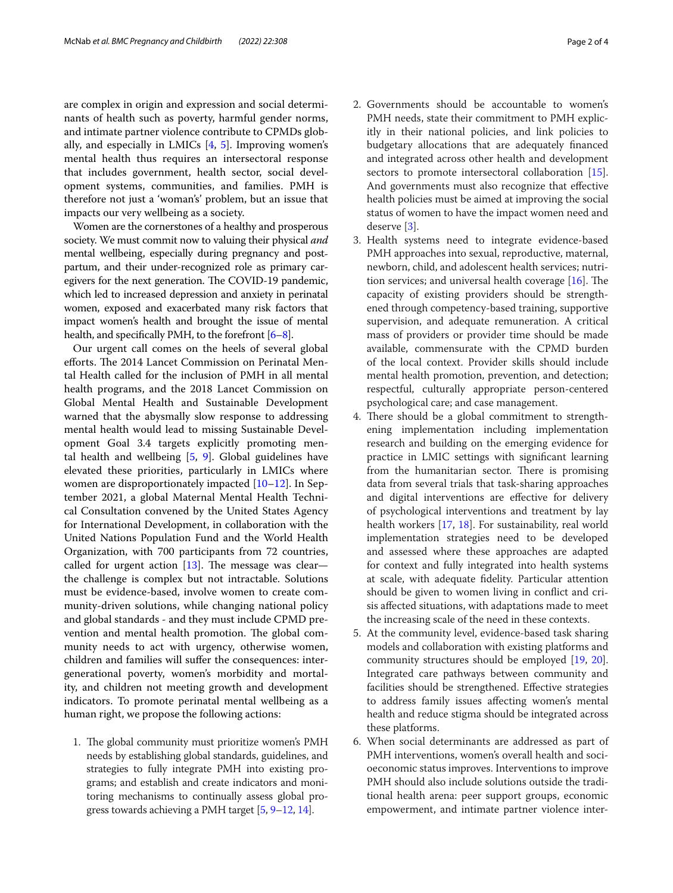are complex in origin and expression and social determinants of health such as poverty, harmful gender norms, and intimate partner violence contribute to CPMDs globally, and especially in LMICs [[4,](#page-2-3) [5](#page-2-4)]. Improving women's mental health thus requires an intersectoral response that includes government, health sector, social development systems, communities, and families. PMH is therefore not just a 'woman's' problem, but an issue that impacts our very wellbeing as a society.

Women are the cornerstones of a healthy and prosperous society. We must commit now to valuing their physical *and* mental wellbeing, especially during pregnancy and postpartum, and their under-recognized role as primary caregivers for the next generation. The COVID-19 pandemic, which led to increased depression and anxiety in perinatal women, exposed and exacerbated many risk factors that impact women's health and brought the issue of mental health, and specifically PMH, to the forefront  $[6-8]$  $[6-8]$ .

Our urgent call comes on the heels of several global efforts. The 2014 Lancet Commission on Perinatal Mental Health called for the inclusion of PMH in all mental health programs, and the 2018 Lancet Commission on Global Mental Health and Sustainable Development warned that the abysmally slow response to addressing mental health would lead to missing Sustainable Development Goal 3.4 targets explicitly promoting mental health and wellbeing [[5,](#page-2-4) [9](#page-2-7)]. Global guidelines have elevated these priorities, particularly in LMICs where women are disproportionately impacted [\[10–](#page-2-8)[12\]](#page-2-9). In September 2021, a global Maternal Mental Health Technical Consultation convened by the United States Agency for International Development, in collaboration with the United Nations Population Fund and the World Health Organization, with 700 participants from 72 countries, called for urgent action  $[13]$  $[13]$ . The message was clearthe challenge is complex but not intractable. Solutions must be evidence-based, involve women to create community-driven solutions, while changing national policy and global standards - and they must include CPMD prevention and mental health promotion. The global community needs to act with urgency, otherwise women, children and families will sufer the consequences: intergenerational poverty, women's morbidity and mortality, and children not meeting growth and development indicators. To promote perinatal mental wellbeing as a human right, we propose the following actions:

1. The global community must prioritize women's PMH needs by establishing global standards, guidelines, and strategies to fully integrate PMH into existing programs; and establish and create indicators and monitoring mechanisms to continually assess global progress towards achieving a PMH target [\[5](#page-2-4), [9](#page-2-7)–[12](#page-2-9), [14](#page-3-1)].

- 2. Governments should be accountable to women's PMH needs, state their commitment to PMH explicitly in their national policies, and link policies to budgetary allocations that are adequately fnanced and integrated across other health and development sectors to promote intersectoral collaboration [[15](#page-3-2)]. And governments must also recognize that efective health policies must be aimed at improving the social status of women to have the impact women need and deserve [[3\]](#page-2-2).
- 3. Health systems need to integrate evidence-based PMH approaches into sexual, reproductive, maternal, newborn, child, and adolescent health services; nutrition services; and universal health coverage  $[16]$  $[16]$  $[16]$ . The capacity of existing providers should be strengthened through competency-based training, supportive supervision, and adequate remuneration. A critical mass of providers or provider time should be made available, commensurate with the CPMD burden of the local context. Provider skills should include mental health promotion, prevention, and detection; respectful, culturally appropriate person-centered psychological care; and case management.
- 4. There should be a global commitment to strengthening implementation including implementation research and building on the emerging evidence for practice in LMIC settings with signifcant learning from the humanitarian sector. There is promising data from several trials that task-sharing approaches and digital interventions are efective for delivery of psychological interventions and treatment by lay health workers [[17,](#page-3-4) [18](#page-3-5)]. For sustainability, real world implementation strategies need to be developed and assessed where these approaches are adapted for context and fully integrated into health systems at scale, with adequate fdelity. Particular attention should be given to women living in confict and crisis afected situations, with adaptations made to meet the increasing scale of the need in these contexts.
- 5. At the community level, evidence-based task sharing models and collaboration with existing platforms and community structures should be employed [\[19,](#page-3-6) [20](#page-3-7)]. Integrated care pathways between community and facilities should be strengthened. Efective strategies to address family issues afecting women's mental health and reduce stigma should be integrated across these platforms.
- 6. When social determinants are addressed as part of PMH interventions, women's overall health and socioeconomic status improves. Interventions to improve PMH should also include solutions outside the traditional health arena: peer support groups, economic empowerment, and intimate partner violence inter-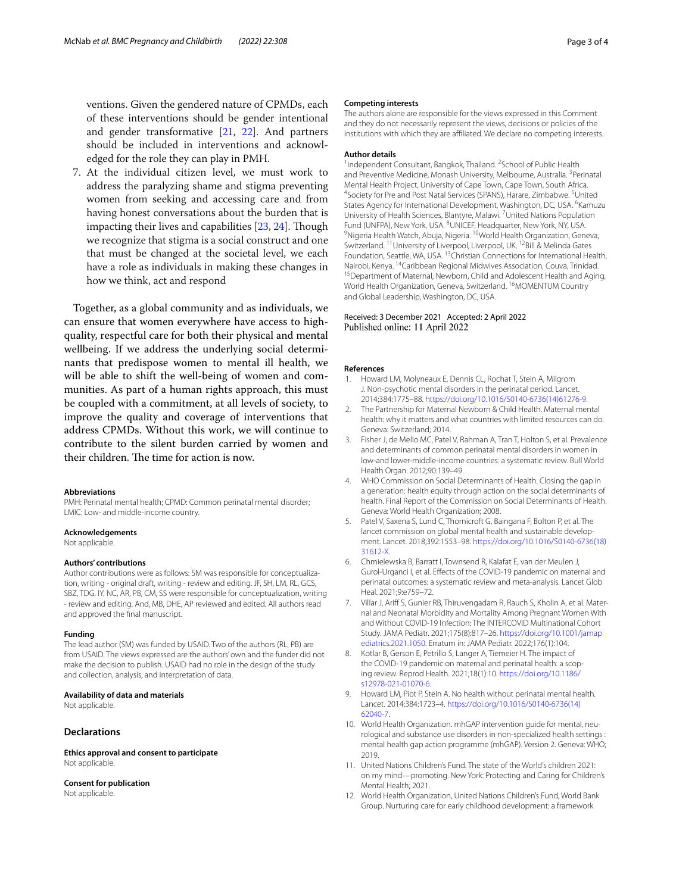ventions. Given the gendered nature of CPMDs, each of these interventions should be gender intentional and gender transformative [[21,](#page-3-8) [22\]](#page-3-9). And partners should be included in interventions and acknowledged for the role they can play in PMH.

7. At the individual citizen level, we must work to address the paralyzing shame and stigma preventing women from seeking and accessing care and from having honest conversations about the burden that is impacting their lives and capabilities [\[23,](#page-3-10) [24\]](#page-3-11). Though we recognize that stigma is a social construct and one that must be changed at the societal level, we each have a role as individuals in making these changes in how we think, act and respond

Together, as a global community and as individuals, we can ensure that women everywhere have access to highquality, respectful care for both their physical and mental wellbeing. If we address the underlying social determinants that predispose women to mental ill health, we will be able to shift the well-being of women and communities. As part of a human rights approach, this must be coupled with a commitment, at all levels of society, to improve the quality and coverage of interventions that address CPMDs. Without this work, we will continue to contribute to the silent burden carried by women and their children. The time for action is now.

## **Abbreviations**

PMH: Perinatal mental health; CPMD: Common perinatal mental disorder; LMIC: Low- and middle-income country.

## **Acknowledgements**

Not applicable.

#### **Authors' contributions**

Author contributions were as follows: SM was responsible for conceptualization, writing - original draft, writing - review and editing. JF, SH, LM, RL, GCS, SBZ, TDG, IY, NC, AR, PB, CM, SS were responsible for conceptualization, writing - review and editing. And, MB, DHE, AP reviewed and edited. All authors read and approved the fnal manuscript.

#### **Funding**

The lead author (SM) was funded by USAID. Two of the authors (RL, PB) are from USAID. The views expressed are the authors' own and the funder did not make the decision to publish. USAID had no role in the design of the study and collection, analysis, and interpretation of data.

#### **Availability of data and materials**

Not applicable.

# **Declarations**

**Ethics approval and consent to participate** Not applicable.

# **Consent for publication**

Not applicable.

## **Competing interests**

The authors alone are responsible for the views expressed in this Comment and they do not necessarily represent the views, decisions or policies of the institutions with which they are affiliated. We declare no competing interests.

# **Author details**

<sup>1</sup> Independent Consultant, Bangkok, Thailand. <sup>2</sup> School of Public Health and Preventive Medicine, Monash University, Melbourne, Australia. <sup>3</sup> Perinatal Mental Health Project, University of Cape Town, Cape Town, South Africa. 4 Society for Pre and Post Natal Services (SPANS), Harare, Zimbabwe. <sup>5</sup>United States Agency for International Development, Washington, DC, USA. <sup>6</sup>Kamuzu University of Health Sciences, Blantyre, Malawi.<sup>7</sup> United Nations Population Fund (UNFPA), New York, USA. <sup>8</sup>UNICEF, Headquarter, New York, NY, USA.<br><sup>9</sup>Nigeria Health Watch, Abuja, Nigeria, <sup>10</sup>World Health Organization, Gene <sup>9</sup>Nigeria Health Watch, Abuja, Nigeria. <sup>10</sup>World Health Organization, Geneva, Switzerland. <sup>11</sup> University of Liverpool, Liverpool, UK. <sup>12</sup>Bill & Melinda Gates Foundation, Seattle, WA, USA. <sup>13</sup>Christian Connections for International Health, Nairobi, Kenya. <sup>14</sup>Caribbean Regional Midwives Association, Couva, Trinidad.<br><sup>15</sup>Department of Maternal, Newborn, Child and Adolescent Health and Aging, World Health Organization, Geneva, Switzerland. 16MOMENTUM Country and Global Leadership, Washington, DC, USA.

# Received: 3 December 2021 Accepted: 2 April 2022 Published online: 11 April 2022

## **References**

- <span id="page-2-0"></span>1. Howard LM, Molyneaux E, Dennis CL, Rochat T, Stein A, Milgrom J. Non-psychotic mental disorders in the perinatal period. Lancet. 2014;384:1775–88. [https://doi.org/10.1016/S0140-6736\(14\)61276-9.](https://doi.org/10.1016/S0140-6736(14)61276-9)
- <span id="page-2-1"></span>2. The Partnership for Maternal Newborn & Child Health. Maternal mental health: why it matters and what countries with limited resources can do. Geneva: Switzerland; 2014.
- <span id="page-2-2"></span>3. Fisher J, de Mello MC, Patel V, Rahman A, Tran T, Holton S, et al. Prevalence and determinants of common perinatal mental disorders in women in low-and lower-middle-income countries: a systematic review. Bull World Health Organ. 2012;90:139–49.
- <span id="page-2-3"></span>4. WHO Commission on Social Determinants of Health. Closing the gap in a generation: health equity through action on the social determinants of health. Final Report of the Commission on Social Determinants of Health. Geneva: World Health Organization; 2008.
- <span id="page-2-4"></span>5. Patel V, Saxena S, Lund C, Thornicroft G, Baingana F, Bolton P, et al. The lancet commission on global mental health and sustainable development. Lancet. 2018;392:1553–98. [https://doi.org/10.1016/S0140-6736\(18\)](https://doi.org/10.1016/S0140-6736(18)31612-X) [31612-X](https://doi.org/10.1016/S0140-6736(18)31612-X).
- <span id="page-2-5"></span>6. Chmielewska B, Barratt I, Townsend R, Kalafat E, van der Meulen J, Gurol-Urganci I, et al. Efects of the COVID-19 pandemic on maternal and perinatal outcomes: a systematic review and meta-analysis. Lancet Glob Heal. 2021;9:e759–72.
- 7. Villar J, Ariff S, Gunier RB, Thiruvengadam R, Rauch S, Kholin A, et al. Maternal and Neonatal Morbidity and Mortality Among Pregnant Women With and Without COVID-19 Infection: The INTERCOVID Multinational Cohort Study. JAMA Pediatr. 2021;175(8):817–26. [https://doi.org/10.1001/jamap](https://doi.org/10.1001/jamapediatrics.2021.1050) [ediatrics.2021.1050.](https://doi.org/10.1001/jamapediatrics.2021.1050) Erratum in: JAMA Pediatr. 2022;176(1):104.
- <span id="page-2-6"></span>8. Kotlar B, Gerson E, Petrillo S, Langer A, Tiemeier H. The impact of the COVID-19 pandemic on maternal and perinatal health: a scoping review. Reprod Health. 2021;18(1):10. [https://doi.org/10.1186/](https://doi.org/10.1186/s12978-021-01070-6) [s12978-021-01070-6](https://doi.org/10.1186/s12978-021-01070-6).
- <span id="page-2-7"></span>9. Howard LM, Piot P, Stein A. No health without perinatal mental health. Lancet. 2014;384:1723–4. [https://doi.org/10.1016/S0140-6736\(14\)](https://doi.org/10.1016/S0140-6736(14)62040-7) [62040-7.](https://doi.org/10.1016/S0140-6736(14)62040-7)
- <span id="page-2-8"></span>10. World Health Organization. mhGAP intervention guide for mental, neurological and substance use disorders in non-specialized health settings : mental health gap action programme (mhGAP). Version 2. Geneva: WHO; 2019.
- 11. United Nations Children's Fund. The state of the World's children 2021: on my mind—promoting. New York: Protecting and Caring for Children's Mental Health; 2021.
- <span id="page-2-9"></span>12. World Health Organization, United Nations Children's Fund, World Bank Group. Nurturing care for early childhood development: a framework